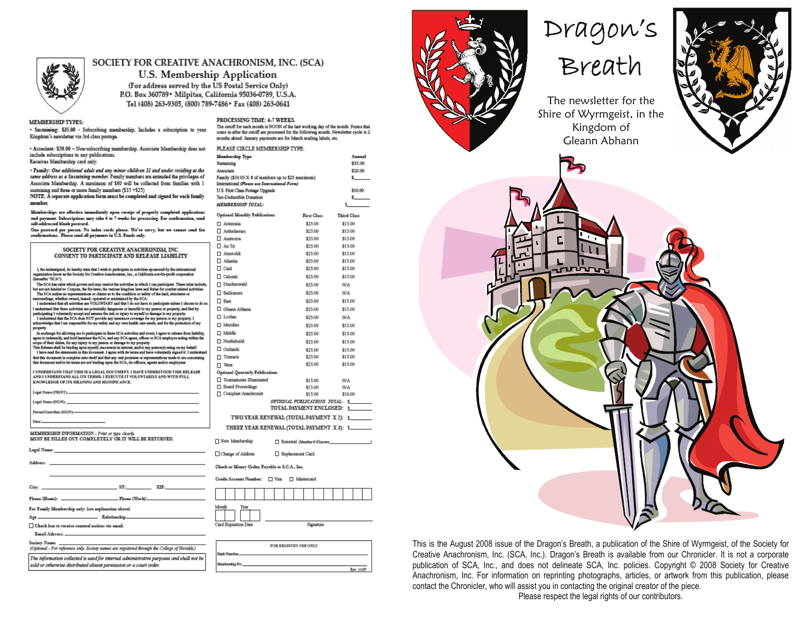

#### SOCIETY FOR CREATIVE ANACHRONISM, INC. (SCA)

U.S. Membership Application (For address served by the US Postal Service Only) P.O. Box 360789 · Milpitas, California 95036-0789, U.S.A. Tel (408) 263-9305, (800) 789-7486 \* Fax (408) 263-0641

#### **MEMBERSHIP TYPES:**

· Sustaining: \$35.00 - Subscribing momborship; Includes a subscription to your Kingdom's newsletter via 3rd class postage.

- Associate: \$20.00 - Non-subscribing membership. Associate Membership does not include subscriptions to any publications. Receives Membership card only.

· Family: One additional adult and any minor children 21 and under residing at the same address as a Sustaining member. Family mambars are axtended the privileges of Associate Membership. A maximum of \$60 will be collected from families with 1 sustaining and three or more family members (\$35 +\$25)

NOTE: A separate application form must be completed and signed for each family member

Memberships are effective immediately upon receipt of properly completed applications and payment. Subscriptions may take 4 to 7 weeks for processing. For confirmation, send.<br>self-addressed blank postcard.

One positard per person. No index cards please. We're sorry, but we cannot send fax<br>confirmations. Please send all payments in U.S. Funds only.

| SOCIETY FOR CREATIVE ANACHRONISM. INC.                                                                                                                                                                                             | $\Box$ An Tir       |
|------------------------------------------------------------------------------------------------------------------------------------------------------------------------------------------------------------------------------------|---------------------|
| CONSENT TO PARTICIPATE AND RELEASE LIABILITY                                                                                                                                                                                       | □ Atenve            |
|                                                                                                                                                                                                                                    | □ Atlanti<br>Π Caid |
| I, the undersigned, do hereby state that I wish to participate in activities sponsored by the international<br>organization know as the Society for Creative Anachronism, Inc., a California not-for-profit corporation            |                     |
| (harasher "SCA").                                                                                                                                                                                                                  | □ Calonti           |
| The SCA has raise which govern and may pastrict the activities in which I can participate. These raise include,<br>but are not limited to: Corpora, the By-laws, the various kingdom laws and Rules for combat related activities. | $\Box$ Drache       |
| The SCA makes no representations or claims as to the condition or safety of the land, structures or<br>surroundings, whether owned, leased, operated or maintained by the SCA.                                                     | □ Baldon            |
| I understand that all activities are VOLUNTARY and that I do not have to participate unless I choose to do so.                                                                                                                     | $\Box$ Bast         |
| I understand that there activities are potentially dangerous or harmful to my person or property, and that by<br>participating I voluntarily accept and assume the risk or injury to myself or damage to my property.              | $\square$ Gleann    |
| I understand that the SCA does NOT provide any insurance coverage for my person or my property. I                                                                                                                                  | □ Loches            |
| acknowledge that I am responsible for my sufety and my own health care needs, and for the protection of my<br>property.                                                                                                            | □ Meridi            |
| In exchange for allowing me to participate in these SCA activities and event. I agree to release from liability,                                                                                                                   | □ Middle            |
| agnee to indemnify, and hold harmless the SCA, and any SCA agent, officer or SCA employee acting within the<br>scope of their deties, for any injury to my person or damage to my property.                                        | □ Norths            |
| This Release shall be binding upon myself, successors in interest, and/or any person(s) suing on my behalf.                                                                                                                        | $\Box$ Outlan       |
| I have read the statements in this document. I agree with its terms and have voluntarily signed it. I understand<br>that this document is complete unto itself and that any onal promises or representations made to me concerning | $\Box$ Trimar       |
| this document and/or its terms are not binding upon the SCA, its officers, agents and/or employees.                                                                                                                                | $\Box$ West         |
| I UNDERSTAND THAT THIS IS A LEGAL DOCUMENT. I HAVE UNDERSTOOD THIS RELEASE                                                                                                                                                         | Optional (          |
| AND I UNDERSTAND ALL ITS TERMS. I EXECUTE IT VOLUNTARILY AND WITH FULL<br>KNOWLEDGE OF ITS MEANING AND SIGNIFICANCE.                                                                                                               | $\Box$ Tourns       |
|                                                                                                                                                                                                                                    | □ Board             |
| Legal Name (PRINT): North Communication of the Communication of the Communication of the Communication of the Communication of the Communication of the Communication of the Communication of the Communication of the Communi     | $\Box$ Comple       |
| Legal Name (SIGN): North and the contract of the contract of the contract of the contract of the contract of the contract of the contract of the contract of the contract of the contract of the contract of the contract of t     |                     |
| Parent/Guardian (SIGN):- Parent Communication (SIGN):                                                                                                                                                                              |                     |
| Date: http://www.com/communications/communications/communications/communications/communications/communications/                                                                                                                    | т١                  |
|                                                                                                                                                                                                                                    | THE                 |
| MEMBERSHIP INFORMATION - Print or type clearly.                                                                                                                                                                                    |                     |
| MUST BE FILLED OUT COMPLETELY OR IT WILL BE RETURNED.                                                                                                                                                                              | $\Box$ New Me       |
| Legal Name: North State (1995) and the Contract of the Contract of the Contract of the Contract of the Contract of the Contract of the Contract of the Contract of the Contract of the Contract of the Contract of the Contrac     |                     |
|                                                                                                                                                                                                                                    | $\Box$ Change       |
|                                                                                                                                                                                                                                    | Check or M          |
|                                                                                                                                                                                                                                    |                     |
|                                                                                                                                                                                                                                    | Credit Acc          |
| $\text{City:}$ $\qquad \qquad \text{ST:} \qquad \qquad \text{ZIP:}$                                                                                                                                                                |                     |
|                                                                                                                                                                                                                                    |                     |
| <b>For Fourth Montenation advertising and continuation shows)</b>                                                                                                                                                                  | Month               |
|                                                                                                                                                                                                                                    |                     |

Relation

sold or otherwise distributed absent permission or a court order.

□ Check box to receive renewal notices via email

Are

Email Adress: Society Nam

The cutoff for each month in NOON of the last working day of the month. Forms that come in after the cutoff are processed for the following month. Newaletter cycle is 2 months shead: January psyments are for March mailing labels, etc. PLEASE CIRCLE MEMBERSHIP TYPE: Membership Type

Annual

PROCESSING TIME: 4-7 WEEKS.

| Sustaining                                                  |                                           | \$35.00                 |
|-------------------------------------------------------------|-------------------------------------------|-------------------------|
| Associate                                                   |                                           | \$20.00                 |
| Family (\$10.00 X # of members up to \$25 maximum)          |                                           | s.                      |
| International (Please use International Form)               |                                           |                         |
| U.S. First Class Postage Upgrade<br>Tax-Deductible Donation |                                           | \$10.00<br>$\mathbf{S}$ |
| MEMBERSHIP TOTAL:                                           |                                           | 5                       |
|                                                             |                                           |                         |
| Optional Monthly Publications                               | First Class                               | <b>Third Class</b>      |
| □ Artemisis                                                 | \$25.00                                   | \$15.00                 |
| Aethelmearc                                                 | \$25.00                                   | \$15.00                 |
| $\Box$ Ansteoms                                             | \$25.00                                   | \$15.00                 |
| $\Box$ An Tir                                               | \$25.00                                   | \$15.00                 |
| □ Atenveldt                                                 | \$25.00                                   | \$15.00                 |
| Atlantia                                                    | \$25.00                                   | \$15.00                 |
| $\Box$ Caid                                                 | \$25.00                                   | \$15.00                 |
| □ Calontir                                                  | \$25.00                                   | \$15.00                 |
| □ Drachenwald                                               | \$25.00                                   | N/A                     |
| □ Baldomere                                                 | \$25.00                                   | N/A                     |
| $\Box$ Bast                                                 | \$25.00                                   | \$15.00                 |
| Gleann Abhann                                               | \$25.00                                   | \$15.00                 |
| □ Lochee                                                    | \$25.00                                   | N/A                     |
| □ Meridies                                                  | \$25.00                                   | \$15.00                 |
| □ Middle                                                    | \$25.00                                   | \$15.00                 |
| □ Northshield                                               | \$25.00                                   | \$15.00                 |
| □ Outlands                                                  | \$25.00                                   | \$15.00                 |
| $\Box$ Trimaris                                             | \$25.00                                   | \$15.00                 |
| □ West                                                      | \$25.00                                   | \$15.00                 |
| Optional Quarterly Publications                             |                                           |                         |
| Tournaments Illuminated                                     | \$15.00                                   | N/A                     |
| Board Proceedings                                           | \$15.00                                   | N/A                     |
| □ Complest Anachronist                                      | \$15.00                                   | \$10.00                 |
|                                                             | OPIIONAL PUBLICATIONS TOTAL: \$           |                         |
|                                                             | TOTAL PAYMENT ENCLOSED:                   | $\sim$                  |
|                                                             | TWO YEAR RENEWAL (TOTAL PAYMENT X 2): 5   |                         |
|                                                             | THREE YEAR RENEWAL (TOTAL PAYMENT X3): \$ |                         |
| 7 New Membership                                            | Renewal (Member#ifferown)                 |                         |
| Change of Address                                           | Replacement Card                          |                         |
| Check or Money Order, Payable to S.C.A., Inc.               |                                           |                         |

ount Number:  $\Box$  Visa  $\Box$  Mastercard

| ۰.                   |  |  |  |  |  |
|----------------------|--|--|--|--|--|
| Card Expiration Date |  |  |  |  |  |





# Dragon's



The newsletter for the Shire of Wyrmgeist, in the Kingdom of Gleann Abhann



This is the August 2008 issue of the Dragon's Breath, a publication of the Shire of Wyrmgeist, of the Society for Creative Anachronism, Inc. (SCA, Inc.). Dragon's Breath is available from our Chronicler. It is not a corporate publication of SCA, Inc., and does not delineate SCA, Inc. policies. Copyright © 2008 Society for Creative Anachronism, Inc. For information on reprinting photographs, articles, or artwork from this publication, please contact the Chronicler, who will assist you in contacting the original creator of the piece.

Please respect the legal rights of our contributors.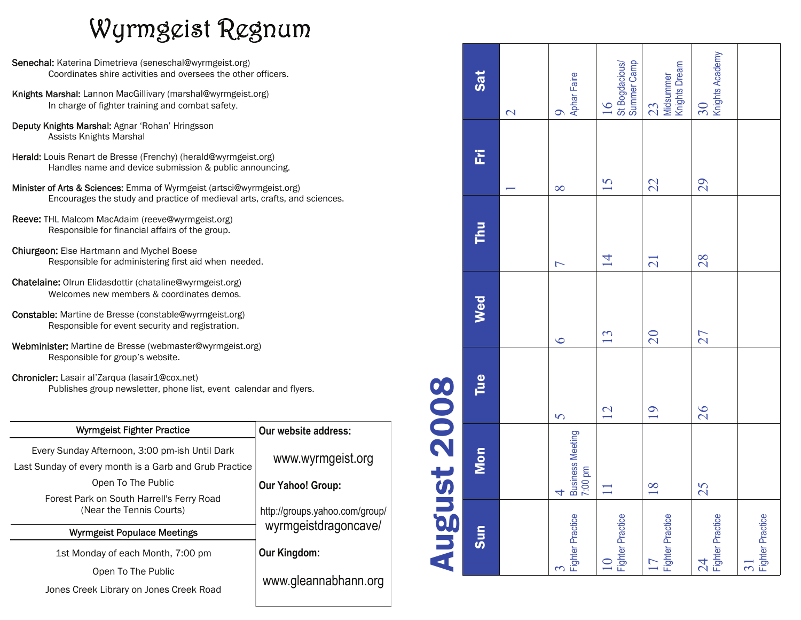## Wyrmgeist Regnum

- Senechal: Katerina Dimetrieva (seneschal@wyrmgeist.org) Coordinates shire activities and oversees the other officers.
- Knights Marshal: Lannon MacGillivary (marshal@wyrmgeist.org) In charge of fighter training and combat safety.
- Deputy Knights Marshal: Agnar 'Rohan' Hringsson Assists Knights Marshal
- Herald: Louis Renart de Bresse (Frenchy) (herald@wyrmgeist.org) Handles name and device submission & public announcing.
- Minister of Arts & Sciences: Emma of Wyrmgeist (artsci@wyrmgeist.org) Encourages the study and practice of medieval arts, crafts, and sciences.
- Reeve: THL Malcom MacAdaim (reeve@wyrmgeist.org) Responsible for financial affairs of the group.
- Chiurgeon: Else Hartmann and Mychel Boese Responsible for administering first aid when needed.
- Chatelaine: Olrun Elidasdottir (chataline@wyrmgeist.org) Welcomes new members & coordinates demos.
- Constable: Martine de Bresse (constable@wyrmgeist.org) Responsible for event security and registration.
- Webminister: Martine de Bresse (webmaster@wyrmgeist.org) Responsible for group's website.
- Chronicler: Lasair al'Zarqua (lasair1@cox.net) Publishes group newsletter, phone list, event calendar and flyers.

| Wyrmgeist Fighter Practice                                                                               | Our website address:           |
|----------------------------------------------------------------------------------------------------------|--------------------------------|
| Every Sunday Afternoon, 3:00 pm-ish Until Dark<br>Last Sunday of every month is a Garb and Grub Practice | www.wyrmgeist.org              |
| Open To The Public                                                                                       | <b>Our Yahoo! Group:</b>       |
| Forest Park on South Harrell's Ferry Road<br>(Near the Tennis Courts)                                    | http://groups.yahoo.com/group/ |
| <b>Wyrmgeist Populace Meetings</b>                                                                       | wyrmgeistdragoncave/           |
| 1st Monday of each Month, 7:00 pm                                                                        | Our Kingdom:                   |
| Open To The Public                                                                                       |                                |
| Jones Creek Library on Jones Creek Road                                                                  | www.gleannabhann.org           |
|                                                                                                          |                                |

| <b>Augur</b>                     | st 2008                                       |                |                 |                          |          |                                                  |
|----------------------------------|-----------------------------------------------|----------------|-----------------|--------------------------|----------|--------------------------------------------------|
| sum                              | Mon                                           | Tue            | Wed             | Thu                      | E        | Sat                                              |
|                                  |                                               |                |                 |                          |          | $\overline{\mathcal{C}}$                         |
| <b>Fighter Practice</b>          | Business Meeting<br>7:00 pm<br>$\overline{4}$ | $\overline{S}$ | $\overline{O}$  | $\overline{\phantom{0}}$ | $\infty$ | Aphar Faire<br>$\bullet$                         |
| <b>Fighter Practice</b><br>$\Xi$ | $\Box$                                        | 12             | 13              | $\overline{4}$           | 15       | St Bogdacious/<br>Summer Camp<br>$\overline{16}$ |
| <b>Fighter Practice</b><br>17    | $\frac{8}{18}$                                | 19             | $\overline{20}$ | $\overline{21}$          | 22       | Knights Dream<br>Midsummer<br>23                 |
| <b>Fighter Practice</b><br>24    | 25                                            | 26             | 27              | 28                       | 29       | Knights Academy<br>30 <sub>o</sub>               |
| <b>Fighter Practice</b><br>$\Xi$ |                                               |                |                 |                          |          |                                                  |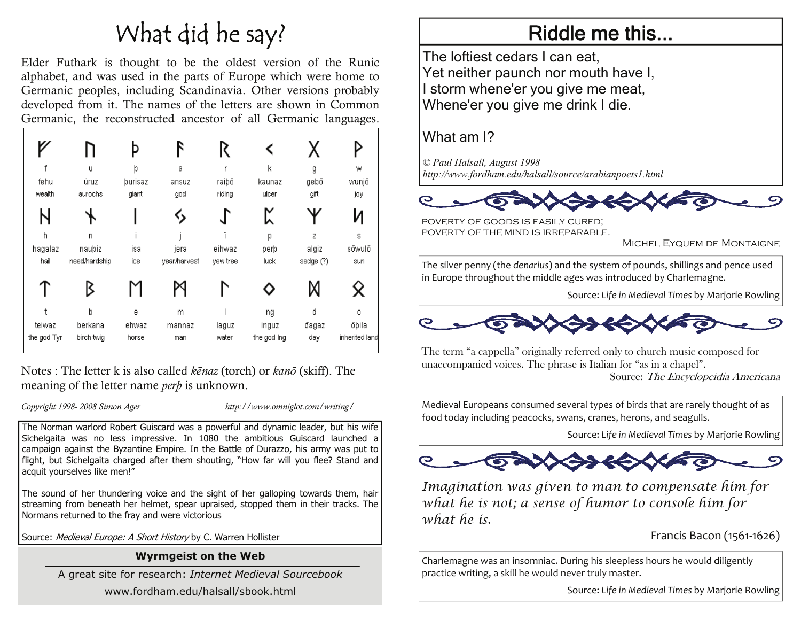## What did he say?

Elder Futhark is thought to be the oldest version of the Runic alphabet, and was used in the parts of Europe which were home to Germanic peoples, including Scandinavia. Other versions probably developed from it. The names of the letters are shown in Common Germanic, the reconstructed ancestor of all Germanic languages.

|             |               |         | R            | R        |             |           |                |
|-------------|---------------|---------|--------------|----------|-------------|-----------|----------------|
|             | u             | þ       | a            |          | K           | g         | W              |
| fehu        | üruz          | þurisaz | ansuz        | raiþō    | kaunaz      | gebō      | wunjō          |
| wealth      | aurochs       | giant   | god          | riding   | ulcer       | gift      | joy            |
| N           |               |         | 的            | J        | K           |           | И              |
| h           | n             |         |              |          | р           | Z         | s              |
| hagalaz     | naubiz        | isa     | jera         | eihwaz   | perþ        | algiz     | sõwulõ         |
| hail        | need/hardship | ice     | year/harvest | yew tree | luck        | sedge (?) | sun            |
|             | ζ             |         |              |          |             | Μ         | Χ              |
|             | b             | e       | m            |          | ng          | d         | 0              |
| teiwaz      | berkana       | ehwaz   | mannaz       | laguz    | inguz       | đagaz     | õbila          |
| the god Tyr | birch twig    | horse   | man          | water    | the god ing | day       | inherited land |

Notes : The letter k is also called *kēnaz* (torch) or *kanō* (skiff). The meaning of the letter name *perþ* is unknown.

*Copyright 1998- 2008 Simon Ager http://www.omniglot.com/writing/*

The Norman warlord Robert Guiscard was a powerful and dynamic leader, but his wife Sichelgaita was no less impressive. In 1080 the ambitious Guiscard launched a campaign against the Byzantine Empire. In the Battle of Durazzo, his army was put to flight, but Sichelgaita charged after them shouting, "How far will you flee? Stand and acquit yourselves like men!"

The sound of her thundering voice and the sight of her galloping towards them, hair streaming from beneath her helmet, spear upraised, stopped them in their tracks. The Normans returned to the fray and were victorious

Source: Medieval Europe: A Short History by C. Warren Hollister

### **Wyrmgeist on the Web**

A great site for research: *Internet Medieval Sourcebook* www.fordham.edu/halsall/sbook.html

### Riddle me this...

The loftiest cedars I can eat, Yet neither paunch nor mouth have I, I storm whene'er you give me meat, Whene'er you give me drink I die.

### What am I?

*© Paul Halsall, August 1998 http://www.fordham.edu/halsall/source/arabianpoets1.html* 



poverty of goods is easily cured; poverty of the mind is irreparable.

Michel Eyquem de Montaigne

The silver penny (the *denarius*) and the system of pounds, shillings and pence used in Europe throughout the middle ages was introduced by Charlemagne.

Source: *Life in Medieval Times* by Marjorie Rowling



The term "a cappella" originally referred only to church music composed for unaccompanied voices. The phrase is Italian for "as in a chapel".

Source: The Encyclopeidia Americana

Medieval Europeans consumed several types of birds that are rarely thought of as food today including peacocks, swans, cranes, herons, and seagulls.

Source: *Life in Medieval Times* by Marjorie Rowling



*Imagination was given to man to compensate him for what he is not; a sense of humor to console him for what he is.* 

Francis Bacon (1561‐1626)

Charlemagne was an insomniac. During his sleepless hours he would diligently practice writing, <sup>a</sup> skill he would never truly master.

Source: *Life in Medieval Times* by Marjorie Rowling